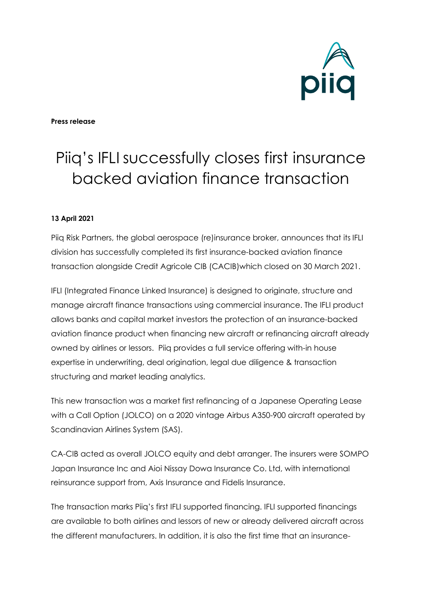

**Press release** 

# Piiq's IFLI successfully closes first insurance backed aviation finance transaction

# **13 April 2021**

Piiq Risk Partners, the global aerospace (re)insurance broker, announces that its IFLI division has successfully completed its first insurance-backed aviation finance transaction alongside Credit Agricole CIB (CACIB)which closed on 30 March 2021.

IFLI (Integrated Finance Linked Insurance) is designed to originate, structure and manage aircraft finance transactions using commercial insurance. The IFLI product allows banks and capital market investors the protection of an insurance-backed aviation finance product when financing new aircraft or refinancing aircraft already owned by airlines or lessors. Piiq provides a full service offering with-in house expertise in underwriting, deal origination, legal due diligence & transaction structuring and market leading analytics.

This new transaction was a market first refinancing of a Japanese Operating Lease with a Call Option (JOLCO) on a 2020 vintage Airbus A350-900 aircraft operated by Scandinavian Airlines System (SAS).

CA-CIB acted as overall JOLCO equity and debt arranger. The insurers were SOMPO Japan Insurance Inc and Aioi Nissay Dowa Insurance Co. Ltd, with international reinsurance support from, Axis Insurance and Fidelis Insurance.

The transaction marks Piiq's first IFLI supported financing. IFLI supported financings are available to both airlines and lessors of new or already delivered aircraft across the different manufacturers. In addition, it is also the first time that an insurance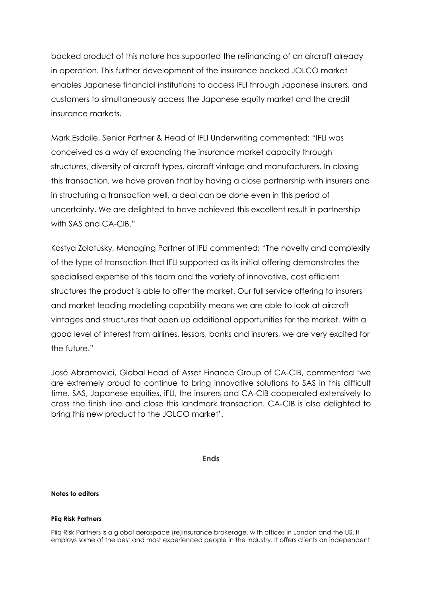backed product of this nature has supported the refinancing of an aircraft already in operation. This further development of the insurance backed JOLCO market enables Japanese financial institutions to access IFLI through Japanese insurers, and customers to simultaneously access the Japanese equity market and the credit insurance markets.

Mark Esdaile, Senior Partner & Head of IFLI Underwriting commented: "IFLI was conceived as a way of expanding the insurance market capacity through structures, diversity of aircraft types, aircraft vintage and manufacturers. In closing this transaction, we have proven that by having a close partnership with insurers and in structuring a transaction well, a deal can be done even in this period of uncertainty. We are delighted to have achieved this excellent result in partnership with SAS and CA-CIB."

Kostya Zolotusky, Managing Partner of IFLI commented: "The novelty and complexity of the type of transaction that IFLI supported as its initial offering demonstrates the specialised expertise of this team and the variety of innovative, cost efficient structures the product is able to offer the market. Our full service offering to insurers and market-leading modelling capability means we are able to look at aircraft vintages and structures that open up additional opportunities for the market. With a good level of interest from airlines, lessors, banks and insurers, we are very excited for the future."

José Abramovici, Global Head of Asset Finance Group of CA-CIB, commented 'we are extremely proud to continue to bring innovative solutions to SAS in this difficult time. SAS, Japanese equities, iFLI, the insurers and CA-CIB cooperated extensively to cross the finish line and close this landmark transaction. CA-CIB is also delighted to bring this new product to the JOLCO market'.

**Ends**

**Notes to editors**

## **Piiq Risk Partners**

Piiq Risk Partners is a global aerospace (re)insurance brokerage, with offices in London and the US. It employs some of the best and most experienced people in the industry. It offers clients an independent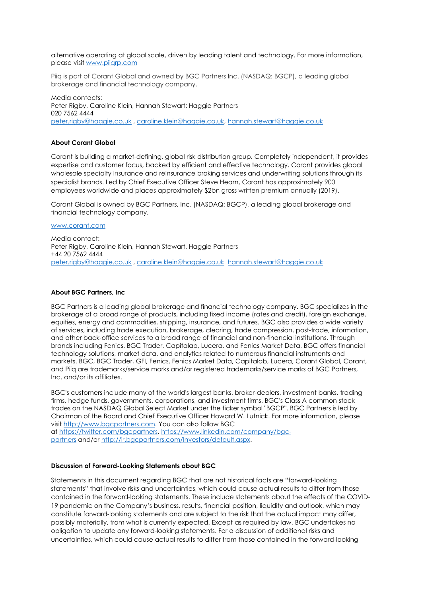alternative operating at global scale, driven by leading talent and technology. For more information, please visit [www.piiqrp.com](http://www.piiqrp.com/)

Piiq is part of Corant Global and owned by BGC Partners Inc. (NASDAQ: BGCP), a leading global brokerage and financial technology company.

Media contacts: Peter Rigby, Caroline Klein, Hannah Stewart: Haggie Partners 020 7562 4444 [peter.rigby@haggie.co.uk](mailto:peter.rigby@haggie.co.uk) , [caroline.klein@haggie.co.uk,](mailto:caroline.klein@haggie.co.uk) [hannah.stewart@haggie.co.uk](mailto:hannah.stewart@haggie.co.uk)

# **About Corant Global**

Corant is building a market-defining, global risk distribution group. Completely independent, it provides expertise and customer focus, backed by efficient and effective technology. Corant provides global wholesale specialty insurance and reinsurance broking services and underwriting solutions through its specialist brands. Led by Chief Executive Officer Steve Hearn, Corant has approximately 900 employees worldwide and places approximately \$2bn gross written premium annually (2019).

Corant Global is owned by BGC Partners, Inc. (NASDAQ: BGCP), a leading global brokerage and financial technology company.

#### [www.corant.com](http://www.corant.com/)

Media contact: Peter Rigby, Caroline Klein, Hannah Stewart, Haggie Partners +44 20 7562 4444 [peter.rigby@haggie.co.uk](mailto:peter.rigby@haggie.co.uk) , [caroline.klein@haggie.co.uk](mailto:caroline.klein@haggie.co.uk) [hannah.stewart@haggie.co.uk](mailto:hannah.stewart@haggie.co.uk)

# **About BGC Partners, Inc**

BGC Partners is a leading global brokerage and financial technology company. BGC specializes in the brokerage of a broad range of products, including fixed income (rates and credit), foreign exchange, equities, energy and commodities, shipping, insurance, and futures. BGC also provides a wide variety of services, including trade execution, brokerage, clearing, trade compression, post-trade, information, and other back-office services to a broad range of financial and non-financial institutions. Through brands including Fenics, BGC Trader, Capitalab, Lucera, and Fenics Market Data, BGC offers financial technology solutions, market data, and analytics related to numerous financial instruments and markets. BGC, BGC Trader, GFI, Fenics, Fenics Market Data, Capitalab, Lucera, Corant Global, Corant, and Piiq are trademarks/service marks and/or registered trademarks/service marks of BGC Partners, Inc. and/or its affiliates.

BGC's customers include many of the world's largest banks, broker-dealers, investment banks, trading firms, hedge funds, governments, corporations, and investment firms. BGC's Class A common stock trades on the NASDAQ Global Select Market under the ticker symbol "BGCP". BGC Partners is led by Chairman of the Board and Chief Executive Officer Howard W. Lutnick. For more information, please visit [http://www.bgcpartners.com.](https://c212.net/c/link/?t=0&l=en&o=3033280-1&h=3940603317&u=http%3A%2F%2Fwww.bgcpartners.com%2F&a=http%3A%2F%2Fwww.bgcpartners.com) You can also follow BGC

at [https://twitter.com/bgcpartners,](https://c212.net/c/link/?t=0&l=en&o=3033280-1&h=988363774&u=https%3A%2F%2Ftwitter.com%2Fbgcpartners&a=https%3A%2F%2Ftwitter.com%2Fbgcpartners) [https://www.linkedin.com/company/bgc](https://c212.net/c/link/?t=0&l=en&o=3033280-1&h=3434583157&u=https%3A%2F%2Fwww.linkedin.com%2Fcompany%2Fbgc-partners&a=https%3A%2F%2Fwww.linkedin.com%2Fcompany%2Fbgc-partners)[partners](https://c212.net/c/link/?t=0&l=en&o=3033280-1&h=3434583157&u=https%3A%2F%2Fwww.linkedin.com%2Fcompany%2Fbgc-partners&a=https%3A%2F%2Fwww.linkedin.com%2Fcompany%2Fbgc-partners) and/or [http://ir.bgcpartners.com/Investors/default.aspx.](https://c212.net/c/link/?t=0&l=en&o=3033280-1&h=3864169779&u=http%3A%2F%2Fir.bgcpartners.com%2FInvestors%2Fdefault.aspx&a=http%3A%2F%2Fir.bgcpartners.com%2FInvestors%2Fdefault.aspx)

## **Discussion of Forward-Looking Statements about BGC**

Statements in this document regarding BGC that are not historical facts are "forward-looking statements" that involve risks and uncertainties, which could cause actual results to differ from those contained in the forward-looking statements. These include statements about the effects of the COVID-19 pandemic on the Company's business, results, financial position, liquidity and outlook, which may constitute forward-looking statements and are subject to the risk that the actual impact may differ, possibly materially, from what is currently expected. Except as required by law, BGC undertakes no obligation to update any forward-looking statements. For a discussion of additional risks and uncertainties, which could cause actual results to differ from those contained in the forward-looking